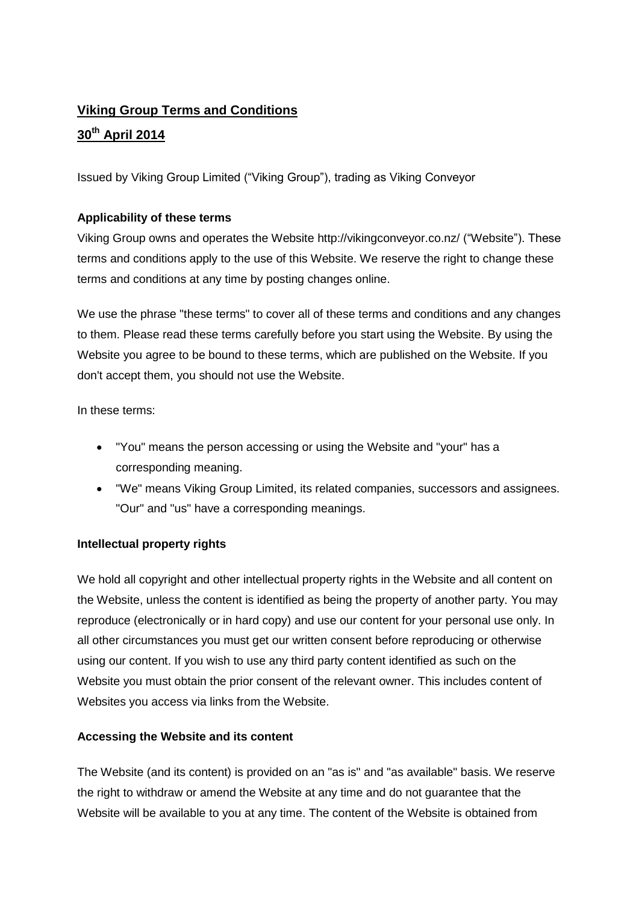# **Viking Group Terms and Conditions 30th April 2014**

Issued by Viking Group Limited ("Viking Group"), trading as Viking Conveyor

# **Applicability of these terms**

Viking Group owns and operates the Website http://vikingconveyor.co.nz/ ("Website"). These terms and conditions apply to the use of this Website. We reserve the right to change these terms and conditions at any time by posting changes online.

We use the phrase "these terms" to cover all of these terms and conditions and any changes to them. Please read these terms carefully before you start using the Website. By using the Website you agree to be bound to these terms, which are published on the Website. If you don't accept them, you should not use the Website.

In these terms:

- "You" means the person accessing or using the Website and "your" has a corresponding meaning.
- "We" means Viking Group Limited, its related companies, successors and assignees. "Our" and "us" have a corresponding meanings.

## **Intellectual property rights**

We hold all copyright and other intellectual property rights in the Website and all content on the Website, unless the content is identified as being the property of another party. You may reproduce (electronically or in hard copy) and use our content for your personal use only. In all other circumstances you must get our written consent before reproducing or otherwise using our content. If you wish to use any third party content identified as such on the Website you must obtain the prior consent of the relevant owner. This includes content of Websites you access via links from the Website.

## **Accessing the Website and its content**

The Website (and its content) is provided on an "as is" and "as available" basis. We reserve the right to withdraw or amend the Website at any time and do not guarantee that the Website will be available to you at any time. The content of the Website is obtained from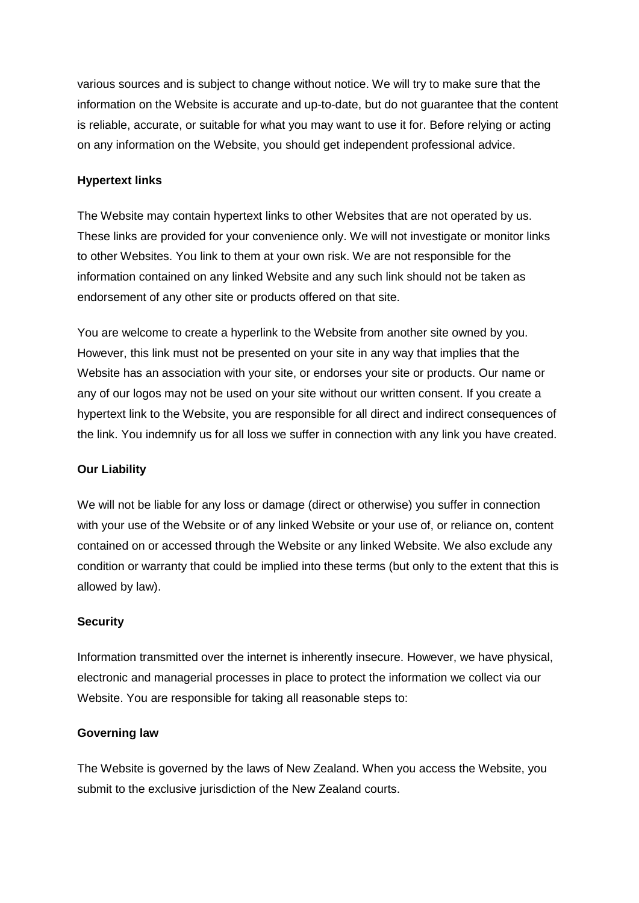various sources and is subject to change without notice. We will try to make sure that the information on the Website is accurate and up-to-date, but do not guarantee that the content is reliable, accurate, or suitable for what you may want to use it for. Before relying or acting on any information on the Website, you should get independent professional advice.

#### **Hypertext links**

The Website may contain hypertext links to other Websites that are not operated by us. These links are provided for your convenience only. We will not investigate or monitor links to other Websites. You link to them at your own risk. We are not responsible for the information contained on any linked Website and any such link should not be taken as endorsement of any other site or products offered on that site.

You are welcome to create a hyperlink to the Website from another site owned by you. However, this link must not be presented on your site in any way that implies that the Website has an association with your site, or endorses your site or products. Our name or any of our logos may not be used on your site without our written consent. If you create a hypertext link to the Website, you are responsible for all direct and indirect consequences of the link. You indemnify us for all loss we suffer in connection with any link you have created.

#### **Our Liability**

We will not be liable for any loss or damage (direct or otherwise) you suffer in connection with your use of the Website or of any linked Website or your use of, or reliance on, content contained on or accessed through the Website or any linked Website. We also exclude any condition or warranty that could be implied into these terms (but only to the extent that this is allowed by law).

#### **Security**

Information transmitted over the internet is inherently insecure. However, we have physical, electronic and managerial processes in place to protect the information we collect via our Website. You are responsible for taking all reasonable steps to:

#### **Governing law**

The Website is governed by the laws of New Zealand. When you access the Website, you submit to the exclusive jurisdiction of the New Zealand courts.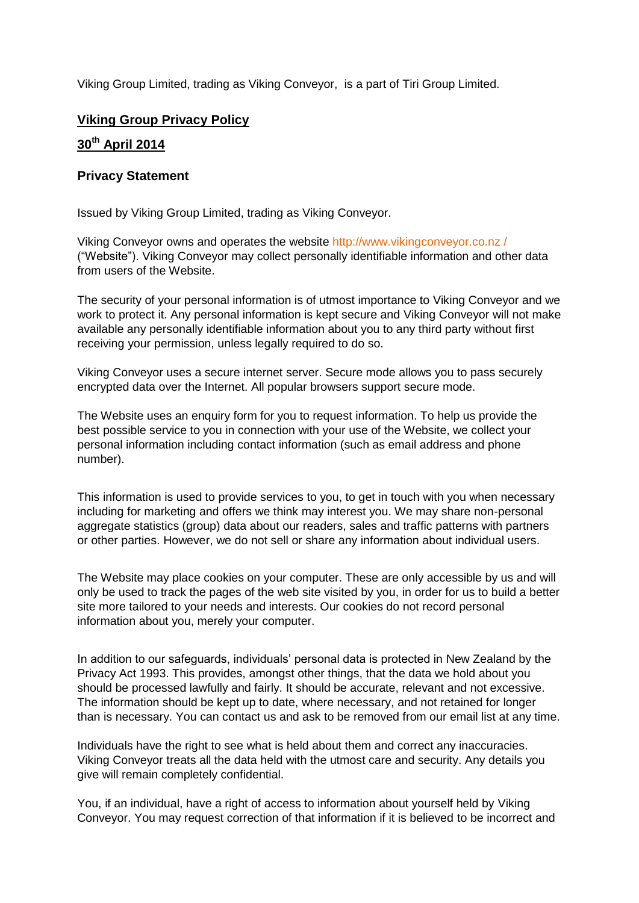Viking Group Limited, trading as Viking Conveyor, is a part of Tiri Group Limited.

# **Viking Group Privacy Policy**

## **30th April 2014**

### **Privacy Statement**

Issued by Viking Group Limited, trading as Viking Conveyor.

Viking Conveyor owns and operates the website http://www.vikingconveyor.co.nz / ("Website"). Viking Conveyor may collect personally identifiable information and other data from users of the Website.

The security of your personal information is of utmost importance to Viking Conveyor and we work to protect it. Any personal information is kept secure and Viking Conveyor will not make available any personally identifiable information about you to any third party without first receiving your permission, unless legally required to do so.

Viking Conveyor uses a secure internet server. Secure mode allows you to pass securely encrypted data over the Internet. All popular browsers support secure mode.

The Website uses an enquiry form for you to request information. To help us provide the best possible service to you in connection with your use of the Website, we collect your personal information including contact information (such as email address and phone number).

This information is used to provide services to you, to get in touch with you when necessary including for marketing and offers we think may interest you. We may share non-personal aggregate statistics (group) data about our readers, sales and traffic patterns with partners or other parties. However, we do not sell or share any information about individual users.

The Website may place cookies on your computer. These are only accessible by us and will only be used to track the pages of the web site visited by you, in order for us to build a better site more tailored to your needs and interests. Our cookies do not record personal information about you, merely your computer.

In addition to our safeguards, individuals' personal data is protected in New Zealand by the Privacy Act 1993. This provides, amongst other things, that the data we hold about you should be processed lawfully and fairly. It should be accurate, relevant and not excessive. The information should be kept up to date, where necessary, and not retained for longer than is necessary. You can contact us and ask to be removed from our email list at any time.

Individuals have the right to see what is held about them and correct any inaccuracies. Viking Conveyor treats all the data held with the utmost care and security. Any details you give will remain completely confidential.

You, if an individual, have a right of access to information about yourself held by Viking Conveyor. You may request correction of that information if it is believed to be incorrect and